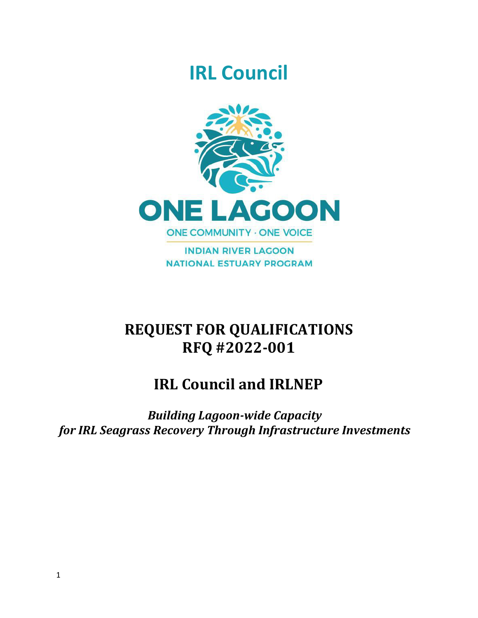# **IRL Council**



**INDIAN RIVER LAGOON NATIONAL ESTUARY PROGRAM** 

## **REQUEST FOR QUALIFICATIONS RFQ #2022-001**

## **IRL Council and IRLNEP**

*Building Lagoon-wide Capacity for IRL Seagrass Recovery Through Infrastructure Investments*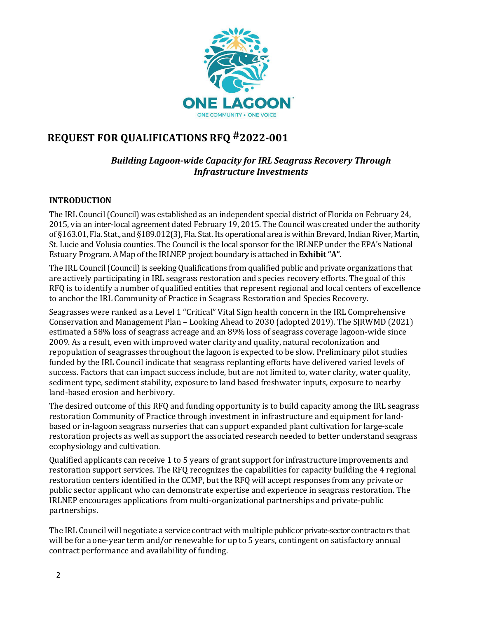

## **REQUEST FOR QUALIFICATIONS RFQ #2022-001**

## *Building Lagoon-wide Capacity for IRL Seagrass Recovery Through Infrastructure Investments*

#### **INTRODUCTION**

The IRL Council (Council) was established as an independent special district of Florida on February 24, 2015, via an inter‐local agreement dated February 19, 2015. The Council was created under the authority of §163.01, Fla. Stat., and §189.012(3), Fla. Stat.Its operational area is withinBrevard,IndianRiver, Martin, St. Lucie and Volusia counties. The Council is the local sponsor for the IRLNEP under the EPA's National Estuary Program. A Map of the IRLNEP project boundary is attached in **Exhibit "A"**.

The IRL Council (Council) is seeking Qualifications from qualified public and private organizations that are actively participating in IRL seagrass restoration and species recovery efforts. The goal of this RFQ is to identify a number of qualified entities that represent regional and local centers of excellence to anchor the IRL Community of Practice in Seagrass Restoration and Species Recovery.

Seagrasses were ranked as a Level 1 "Critical" Vital Sign health concern in the IRL Comprehensive Conservation and Management Plan – Looking Ahead to 2030 (adopted 2019). The SJRWMD (2021) estimated a 58% loss of seagrass acreage and an 89% loss of seagrass coverage lagoon-wide since 2009. As a result, even with improved water clarity and quality, natural recolonization and repopulation of seagrasses throughout the lagoon is expected to be slow. Preliminary pilot studies funded by the IRL Council indicate that seagrass replanting efforts have delivered varied levels of success. Factors that can impact success include, but are not limited to, water clarity, water quality, sediment type, sediment stability, exposure to land based freshwater inputs, exposure to nearby land-based erosion and herbivory.

The desired outcome of this RFQ and funding opportunity is to build capacity among the IRL seagrass restoration Community of Practice through investment in infrastructure and equipment for landbased or in-lagoon seagrass nurseries that can support expanded plant cultivation for large-scale restoration projects as well as support the associated research needed to better understand seagrass ecophysiology and cultivation.

Qualified applicants can receive 1 to 5 years of grant support for infrastructure improvements and restoration support services. The RFQ recognizes the capabilities for capacity building the 4 regional restoration centers identified in the CCMP, but the RFQ will accept responses from any private or public sector applicant who can demonstrate expertise and experience in seagrass restoration. The IRLNEP encourages applications from multi-organizational partnerships and private-public partnerships.

The IRL Council will negotiate a service contract with multiple public or private-sector contractors that will be for a one-year term and/or renewable for up to 5 years, contingent on satisfactory annual contract performance and availability of funding.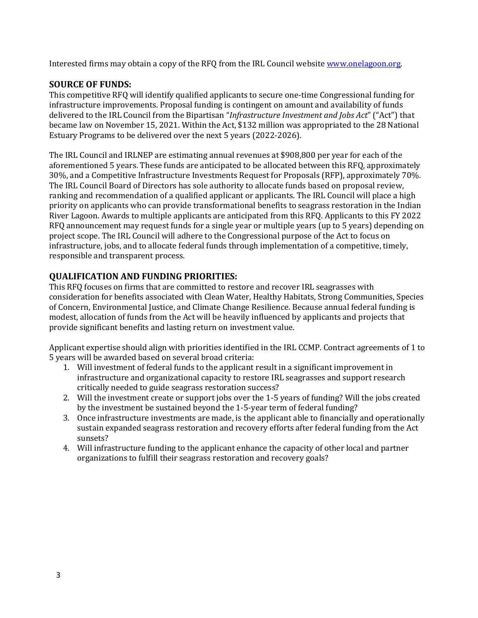Interested firms may obtain a copy of the RFQ from the IRL Council website [www.onelagoon.org.](http://www.onelagoon.org/)

### **SOURCE OF FUNDS:**

This competitive RFQ will identify qualified applicants to secure one-time Congressional funding for infrastructure improvements. Proposal funding is contingent on amount and availability of funds delivered to the IRL Council from the Bipartisan "*Infrastructure Investment and Jobs Act*" ("Act") that became law on November 15, 2021. Within the Act, \$132 million was appropriated to the 28 National Estuary Programs to be delivered over the next 5 years (2022-2026).

The IRL Council and IRLNEP are estimating annual revenues at \$908,800 per year for each of the aforementioned 5 years. These funds are anticipated to be allocated between this RFQ, approximately 30%, and a Competitive Infrastructure Investments Request for Proposals (RFP), approximately 70%. The IRL Council Board of Directors has sole authority to allocate funds based on proposal review, ranking and recommendation of a qualified applicant or applicants. The IRL Council will place a high priority on applicants who can provide transformational benefits to seagrass restoration in the Indian River Lagoon. Awards to multiple applicants are anticipated from this RFQ. Applicants to this FY 2022 RFQ announcement may request funds for a single year or multiple years (up to 5 years) depending on project scope. The IRL Council will adhere to the Congressional purpose of the Act to focus on infrastructure, jobs, and to allocate federal funds through implementation of a competitive, timely, responsible and transparent process.

### **QUALIFICATION AND FUNDING PRIORITIES:**

This RFQ focuses on firms that are committed to restore and recover IRL seagrasses with consideration for benefits associated with Clean Water, Healthy Habitats, Strong Communities, Species of Concern, Environmental Justice, and Climate Change Resilience. Because annual federal funding is modest, allocation of funds from the Act will be heavily influenced by applicants and projects that provide significant benefits and lasting return on investment value.

Applicant expertise should align with priorities identified in the IRL CCMP. Contract agreements of 1 to 5 years will be awarded based on several broad criteria:

- 1. Will investment of federal funds to the applicant result in a significant improvement in infrastructure and organizational capacity to restore IRL seagrasses and support research critically needed to guide seagrass restoration success?
- 2. Will the investment create or support jobs over the 1-5 years of funding? Will the jobs created by the investment be sustained beyond the 1-5-year term of federal funding?
- 3. Once infrastructure investments are made, is the applicant able to financially and operationally sustain expanded seagrass restoration and recovery efforts after federal funding from the Act sunsets?
- 4. Will infrastructure funding to the applicant enhance the capacity of other local and partner organizations to fulfill their seagrass restoration and recovery goals?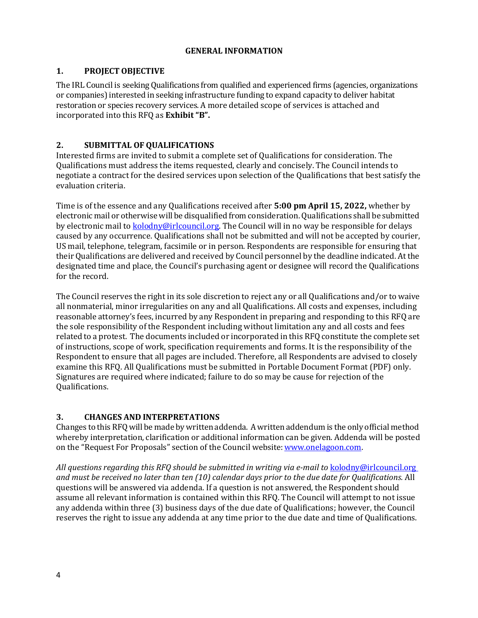#### **GENERAL INFORMATION**

#### **1. PROJECT OBJECTIVE**

The IRL Council is seeking Qualifications from qualified and experienced firms (agencies, organizations or companies) interested in seeking infrastructure funding to expand capacity to deliver habitat restoration or species recovery services. A more detailed scope of services is attached and incorporated into this RFQ as **Exhibit "B".**

#### **2. SUBMITTAL OF QUALIFICATIONS**

Interested firms are invited to submit a complete set of Qualifications for consideration. The Qualifications must address the items requested, clearly and concisely. The Council intends to negotiate a contract for the desired services upon selection of the Qualifications that best satisfy the evaluation criteria.

Time is of the essence and any Qualifications received after **5:00 pm April 15, 2022,** whether by electronic mail or otherwisewill be disqualified from consideration.Qualifications shall be submitted by electronic mail to [kolodny@irlcouncil.org.](mailto:kolodny@irlcouncil.org) The Council will in no way be responsible for delays caused by any occurrence. Qualifications shall not be submitted and will not be accepted by courier, US mail, telephone, telegram, facsimile or in person. Respondents are responsible for ensuring that their Qualifications are delivered and received by Council personnel by the deadline indicated. At the designated time and place, the Council's purchasing agent or designee will record the Qualifications for the record.

The Council reserves the right in its sole discretion to reject any or all Qualifications and/or to waive all nonmaterial, minor irregularities on any and all Qualifications. All costs and expenses, including reasonable attorney's fees, incurred by any Respondent in preparing and responding to this RFQ are the sole responsibility of the Respondent including without limitation any and all costs and fees related to a protest. The documents included or incorporated in this RFQ constitute the complete set of instructions, scope of work, specification requirements and forms. It is the responsibility of the Respondent to ensure that all pages are included. Therefore, all Respondents are advised to closely examine this RFQ. All Qualifications must be submitted in Portable Document Format (PDF) only. Signatures are required where indicated; failure to do so may be cause for rejection of the Qualifications.

#### **3. CHANGES AND INTERPRETATIONS**

Changes to this RFQwill be made bywrittenaddenda. Awrittenaddendum is the only official method whereby interpretation, clarification or additional information can be given. Addenda will be posted on the "Request For Proposals" section of the Council website[:www.onelagoon.com.](http://www.onelagoon.com/)

All questions regarding this RFQ should be submitted in writing via e-mail to **[kolodny@irlcouncil.org](mailto:kolodny@irlcouncil.org)** *and must be received no later than ten (10) calendar days prior to the due date for Qualifications.* All questions will be answered via addenda. If a question is not answered, the Respondent should assume all relevant information is contained within this RFQ. The Council will attempt to not issue any addenda within three (3) business days of the due date of Qualifications; however, the Council reserves the right to issue any addenda at any time prior to the due date and time of Qualifications.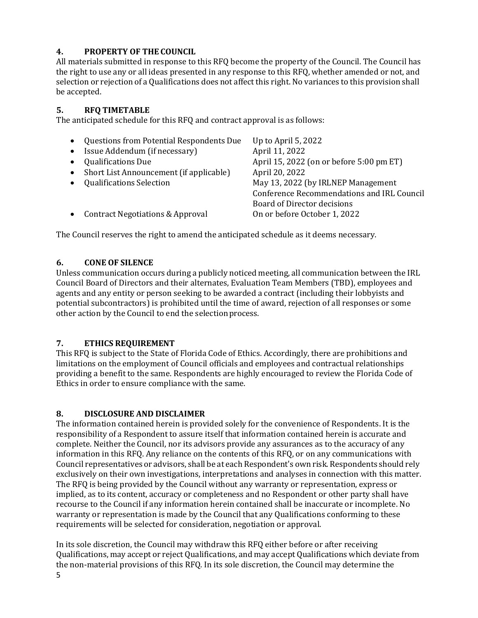## **4. PROPERTY OF THE COUNCIL**

All materials submitted in response to this RFQ become the property of the Council. The Council has the right to use any or all ideas presented in any response to this RFQ, whether amended or not, and selection or rejection of a Qualifications does not affect this right. No variances to this provision shall be accepted.

#### **5. RFQ TIMETABLE**

The anticipated schedule for this RFQ and contract approval is as follows:

| $\bullet$<br>$\bullet$<br>$\bullet$<br>$\bullet$ | Questions from Potential Respondents Due<br>Issue Addendum (if necessary)<br><b>Qualifications Due</b><br>• Short List Announcement (if applicable)<br><b>Qualifications Selection</b> | Up to April $5,2022$<br>April 11, 2022<br>April 15, 2022 (on or before 5:00 pm ET)<br>April 20, 2022<br>May 13, 2022 (by IRLNEP Management<br>Conference Recommendations and IRL Council |
|--------------------------------------------------|----------------------------------------------------------------------------------------------------------------------------------------------------------------------------------------|------------------------------------------------------------------------------------------------------------------------------------------------------------------------------------------|
| $\bullet$                                        | <b>Contract Negotiations &amp; Approval</b>                                                                                                                                            | Board of Director decisions<br>On or before October 1, 2022                                                                                                                              |

The Council reserves the right to amend the anticipated schedule as it deems necessary.

#### **6. CONE OF SILENCE**

Unless communication occurs during a publicly noticed meeting, all communication between the IRL Council Board of Directors and their alternates, Evaluation Team Members (TBD), employees and agents and any entity or person seeking to be awarded a contract (including their lobbyists and potential subcontractors) is prohibited until the time of award, rejection of all responses or some other action by the Council to end the selection process.

#### **7. ETHICS REQUIREMENT**

This RFQ is subject to the State of Florida Code of Ethics. Accordingly, there are prohibitions and limitations on the employment of Council officials and employees and contractual relationships providing a benefit to the same. Respondents are highly encouraged to review the Florida Code of Ethics in order to ensure compliance with the same.

#### **8. DISCLOSURE AND DISCLAIMER**

The information contained herein is provided solely for the convenience of Respondents. It is the responsibility of a Respondent to assure itself that information contained herein is accurate and complete. Neither the Council, nor its advisors provide any assurances as to the accuracy of any information in this RFQ. Any reliance on the contents of this RFQ, or on any communications with Council representatives or advisors, shall be at each Respondent's own risk. Respondents should rely exclusively on their own investigations, interpretations and analyses in connection with this matter. The RFQ is being provided by the Council without any warranty or representation, express or implied, as to its content, accuracy or completeness and no Respondent or other party shall have recourse to the Council if any information herein contained shall be inaccurate or incomplete. No warranty or representation is made by the Council that any Qualifications conforming to these requirements will be selected for consideration, negotiation or approval.

5 In its sole discretion, the Council may withdraw this RFQ either before or after receiving Qualifications, may accept or reject Qualifications, and may accept Qualifications which deviate from the non-material provisions of this RFQ. In its sole discretion, the Council may determine the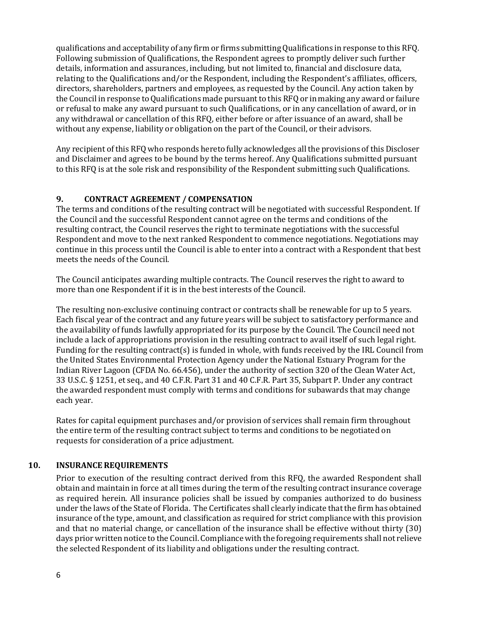qualifications and acceptability of any firm or firms submitting Qualifications in response to this RFQ. Following submission of Qualifications, the Respondent agrees to promptly deliver such further details, information and assurances, including, but not limited to, financial and disclosure data, relating to the Qualifications and/or the Respondent, including the Respondent's affiliates, officers, directors, shareholders, partners and employees, as requested by the Council. Any action taken by the Council in response to Qualifications made pursuant to this RFQ or in making any award or failure or refusal to make any award pursuant to such Qualifications, or in any cancellation of award, or in any withdrawal or cancellation of this RFQ, either before or after issuance of an award, shall be without any expense, liability or obligation on the part of the Council, or their advisors.

Any recipient of this RFQ who responds hereto fully acknowledges all the provisions of this Discloser and Disclaimer and agrees to be bound by the terms hereof. Any Qualifications submitted pursuant to this RFQ is at the sole risk and responsibility of the Respondent submitting such Qualifications.

#### **9. CONTRACT AGREEMENT / COMPENSATION**

The terms and conditions of the resulting contract will be negotiated with successful Respondent. If the Council and the successful Respondent cannot agree on the terms and conditions of the resulting contract, the Council reserves the right to terminate negotiations with the successful Respondent and move to the next ranked Respondent to commence negotiations. Negotiations may continue in this process until the Council is able to enter into a contract with a Respondent that best meets the needs of the Council.

The Council anticipates awarding multiple contracts. The Council reserves the right to award to more than one Respondent if it is in the best interests of the Council.

The resulting non-exclusive continuing contract or contracts shall be renewable for up to 5 years. Each fiscal year of the contract and any future years will be subject to satisfactory performance and the availability of funds lawfully appropriated for its purpose by the Council. The Council need not include a lack of appropriations provision in the resulting contract to avail itself of such legal right. Funding for the resulting contract(s) is funded in whole, with funds received by the IRL Council from the United States Environmental Protection Agency under the National Estuary Program for the Indian River Lagoon (CFDA No. 66.456), under the authority of section 320 of the Clean Water Act, 33 U.S.C. § 1251, et seq., and 40 C.F.R. Part 31 and 40 C.F.R. Part 35, Subpart P. Under any contract the awarded respondent must comply with terms and conditions for subawards that may change each year.

Rates for capital equipment purchases and/or provision of services shall remain firm throughout the entire term of the resulting contract subject to terms and conditions to be negotiated on requests for consideration of a price adjustment.

#### **10. INSURANCE REQUIREMENTS**

Prior to execution of the resulting contract derived from this RFQ, the awarded Respondent shall obtain and maintain in force at all times during the term of the resulting contract insurance coverage as required herein. All insurance policies shall be issued by companies authorized to do business under the laws of the State of Florida. The Certificates shall clearly indicate that the firm has obtained insurance of the type, amount, and classification as required for strict compliance with this provision and that no material change, or cancellation of the insurance shall be effective without thirty (30) days prior written notice to the Council. Compliance with the foregoing requirements shall not relieve the selected Respondent of its liability and obligations under the resulting contract.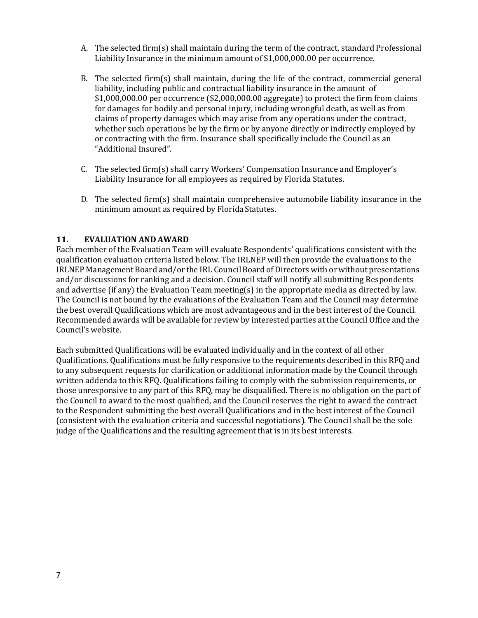- A. The selected firm(s) shall maintain during the term of the contract, standard Professional Liability Insurance in the minimum amount of \$1,000,000.00 per occurrence.
- B. The selected firm(s) shall maintain, during the life of the contract, commercial general liability, including public and contractual liability insurance in the amount of \$1,000,000.00 per occurrence (\$2,000,000.00 aggregate) to protect the firm from claims for damages for bodily and personal injury, including wrongful death, as well as from claims of property damages which may arise from any operations under the contract, whether such operations be by the firm or by anyone directly or indirectly employed by or contracting with the firm. Insurance shall specifically include the Council as an "Additional Insured".
- C. The selected firm(s) shall carry Workers' Compensation Insurance and Employer's Liability Insurance for all employees as required by Florida Statutes.
- D. The selected firm(s) shall maintain comprehensive automobile liability insurance in the minimum amount as required by Florida Statutes.

#### **11. EVALUATION AND AWARD**

Each member of the Evaluation Team will evaluate Respondents' qualifications consistent with the qualification evaluation criteria listed below. The IRLNEP will then provide the evaluations to the IRLNEP Management Board and/or the IRL Council Board of Directors with orwithout presentations and/or discussions for ranking and a decision. Council staff will notify all submitting Respondents and advertise (if any) the Evaluation Team meeting(s) in the appropriate media as directed by law. The Council is not bound by the evaluations of the Evaluation Team and the Council may determine the best overall Qualifications which are most advantageous and in the best interest of the Council. Recommended awards will be available for review by interested parties at the Council Office and the Council's website.

Each submitted Qualifications will be evaluated individually and in the context of all other Qualifications. Qualifications must be fully responsive to the requirements described in this RFQ and to any subsequent requests for clarification or additional information made by the Council through written addenda to this RFQ. Qualifications failing to comply with the submission requirements, or those unresponsive to any part of this RFQ, may be disqualified. There is no obligation on the part of the Council to award to the most qualified, and the Council reserves the right to award the contract to the Respondent submitting the best overall Qualifications and in the best interest of the Council (consistent with the evaluation criteria and successful negotiations). The Council shall be the sole judge of the Qualifications and the resulting agreement that is in its best interests.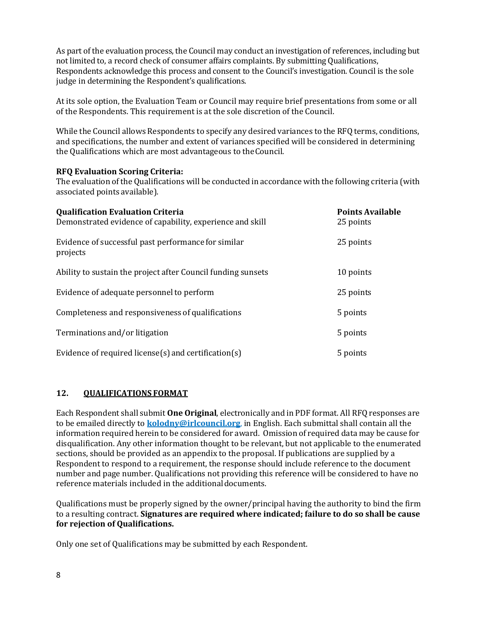As part of the evaluation process, the Council may conduct an investigation of references, including but not limited to, a record check of consumer affairs complaints. By submitting Qualifications, Respondents acknowledge this process and consent to the Council's investigation. Council is the sole judge in determining the Respondent's qualifications.

At its sole option, the Evaluation Team or Council may require brief presentations from some or all of the Respondents. This requirement is at the sole discretion of the Council.

While the Council allows Respondents to specify any desired variances to the RFQ terms, conditions, and specifications, the number and extent of variances specified will be considered in determining the Qualifications which are most advantageous to theCouncil.

#### **RFQ Evaluation Scoring Criteria:**

The evaluation of the Qualifications will be conducted in accordance with the following criteria (with associated points available).

| <b>Qualification Evaluation Criteria</b><br>Demonstrated evidence of capability, experience and skill | <b>Points Available</b><br>25 points |
|-------------------------------------------------------------------------------------------------------|--------------------------------------|
| Evidence of successful past performance for similar<br>projects                                       | 25 points                            |
| Ability to sustain the project after Council funding sunsets                                          | 10 points                            |
| Evidence of adequate personnel to perform                                                             | 25 points                            |
| Completeness and responsiveness of qualifications                                                     | 5 points                             |
| Terminations and/or litigation                                                                        | 5 points                             |
| Evidence of required license(s) and certification(s)                                                  | 5 points                             |

#### **12. QUALIFICATIONS FORMAT**

Each Respondent shall submit **One Original**, electronically and in PDF format. All RFQ responses are to be emailed directly to **[kolodny@irlcouncil.org](mailto:kolodny@irlcouncil.org)**, in English. Each submittal shall contain all the information required herein to be considered for award. Omission of required data may be cause for disqualification. Any other information thought to be relevant, but not applicable to the enumerated sections, should be provided as an appendix to the proposal. If publications are supplied by a Respondent to respond to a requirement, the response should include reference to the document number and page number. Qualifications not providing this reference will be considered to have no reference materials included in the additional documents.

Qualifications must be properly signed by the owner/principal having the authority to bind the firm to a resulting contract. **Signatures are required where indicated; failure to do so shall be cause for rejection of Qualifications.**

Only one set of Qualifications may be submitted by each Respondent.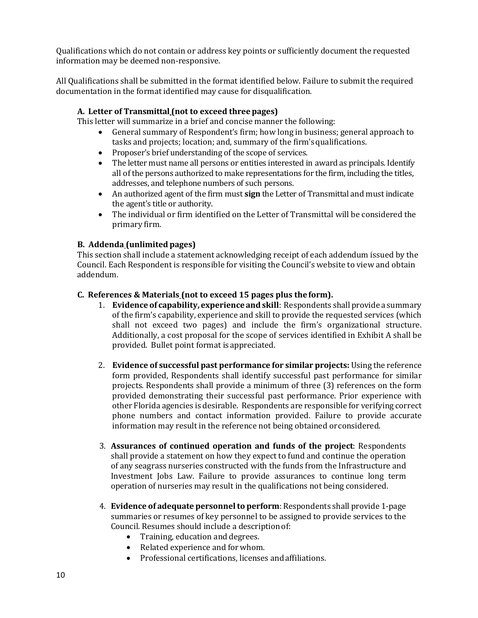Qualifications which do not contain or address key points or sufficiently document the requested information may be deemed non-responsive.

All Qualifications shall be submitted in the format identified below. Failure to submit the required documentation in the format identified may cause for disqualification.

#### **A. Letter of Transmittal (not to exceed three pages)**

This letter will summarize in a brief and concise manner the following:

- General summary of Respondent's firm; how long in business; general approach to tasks and projects; location; and, summary of the firm'squalifications.
- Proposer's brief understanding of the scope of services.
- The letter must name all persons or entities interested in award as principals. Identify all of the persons authorized to make representations for the firm, including the titles, addresses, and telephone numbers of such persons.
- An authorized agent of the firm must **sign** the Letter of Transmittal and must indicate the agent's title or authority.
- The individual or firm identified on the Letter of Transmittal will be considered the primary firm.

#### **B. Addenda (unlimited pages)**

This section shall include a statement acknowledging receipt of each addendum issued by the Council. Each Respondent is responsible for visiting the Council's website to view and obtain addendum.

#### **C. References & Materials (not to exceed 15 pages plus the form).**

- 1. **Evidence of capability, experience andskill**: Respondents shall provide a summary of the firm's capability, experience and skill to provide the requested services (which shall not exceed two pages) and include the firm's organizational structure. Additionally, a cost proposal for the scope of services identified in Exhibit A shall be provided. Bullet point format isappreciated.
- 2. **Evidence of successful past performance for similar projects:** Using the reference form provided, Respondents shall identify successful past performance for similar projects. Respondents shall provide a minimum of three (3) references on the form provided demonstrating their successful past performance. Prior experience with other Florida agencies is desirable. Respondents are responsible for verifying correct phone numbers and contact information provided. Failure to provide accurate information may result in the reference not being obtained orconsidered.
- 3. **Assurances of continued operation and funds of the project**: Respondents shall provide a statement on how they expect to fund and continue the operation of any seagrass nurseries constructed with the funds from the Infrastructure and Investment Jobs Law. Failure to provide assurances to continue long term operation of nurseries may result in the qualifications not being considered.
- 4. **Evidence of adequate personnel to perform**: Respondents shall provide 1-page summaries or resumes of key personnel to be assigned to provide services to the Council. Resumes should include a descriptionof:
	- Training, education and degrees.
	- Related experience and forwhom.
	- Professional certifications, licenses andaffiliations.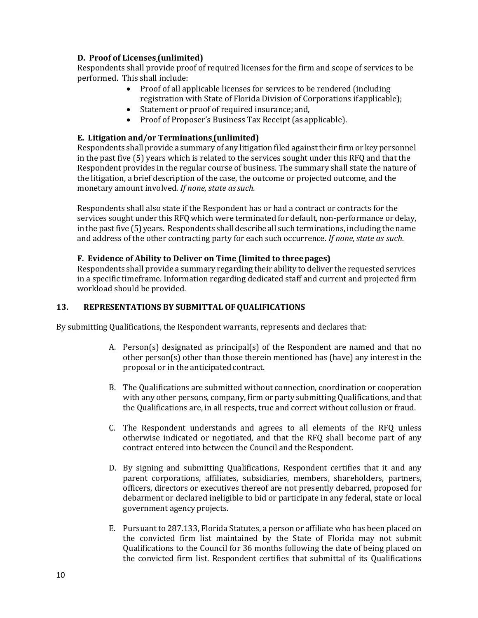#### **D. Proof of Licenses (unlimited)**

Respondents shall provide proof of required licenses for the firm and scope of services to be performed. This shall include:

- Proof of all applicable licenses for services to be rendered (including registration with State of Florida Division of Corporations ifapplicable);
- Statement or proof of required insurance; and,
- Proof of Proposer's Business Tax Receipt (as applicable).

#### **E. Litigation and/or Terminations (unlimited)**

Respondents shall provide a summary of any litigation filed againsttheir firm or key personnel in the past five (5) years which is related to the services sought under this RFQ and that the Respondent provides in the regular course of business. The summary shall state the nature of the litigation, a brief description of the case, the outcome or projected outcome, and the monetary amount involved*. If none, state assuch.*

Respondents shall also state if the Respondent has or had a contract or contracts for the services sought under this RFQ which were terminated for default, non-performance or delay, inthe pastfive (5) years. Respondents shall describe all such terminations, including the name and address of the other contracting party for each such occurrence. *If none, state as such.*

#### **F. Evidence of Ability to Deliver on Time (limited to threepages)**

Respondents shall provide a summary regarding their ability to deliver the requested services in a specific timeframe. Information regarding dedicated staff and current and projected firm workload should be provided.

#### **13. REPRESENTATIONS BY SUBMITTAL OFQUALIFICATIONS**

By submitting Qualifications, the Respondent warrants, represents and declares that:

- A. Person(s) designated as principal(s) of the Respondent are named and that no other person(s) other than those therein mentioned has (have) any interest in the proposal or in the anticipated contract.
- B. The Qualifications are submitted without connection, coordination or cooperation with any other persons, company, firm or party submitting Qualifications, and that the Qualifications are, in all respects, true and correct without collusion or fraud.
- C. The Respondent understands and agrees to all elements of the RFQ unless otherwise indicated or negotiated, and that the RFQ shall become part of any contract entered into between the Council and the Respondent.
- D. By signing and submitting Qualifications, Respondent certifies that it and any parent corporations, affiliates, subsidiaries, members, shareholders, partners, officers, directors or executives thereof are not presently debarred, proposed for debarment or declared ineligible to bid or participate in any federal, state or local government agency projects.
- E. Pursuant to 287.133, Florida Statutes, a person or affiliate who has been placed on the convicted firm list maintained by the State of Florida may not submit Qualifications to the Council for 36 months following the date of being placed on the convicted firm list. Respondent certifies that submittal of its Qualifications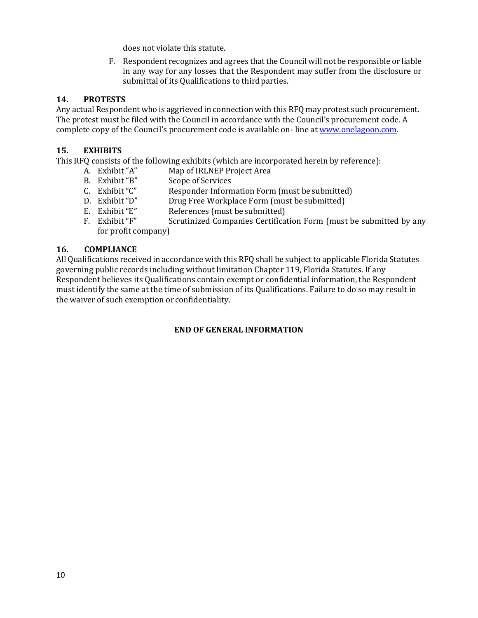does not violate this statute.

F. Respondent recognizes and agrees that the Councilwill not be responsible or liable in any way for any losses that the Respondent may suffer from the disclosure or submittal of its Qualifications to third parties.

#### **14. PROTESTS**

Any actual Respondent who is aggrieved in connection with this RFQ may protest such procurement. The protest must be filed with the Council in accordance with the Council's procurement code. A complete copy of the Council's procurement code is available on- line a[t www.onelagoon.com.](http://www.onelagoon.com/)

#### **15. EXHIBITS**

This RFQ consists of the following exhibits (which are incorporated herein by reference):<br>A. Exhibit "A" Map of IRLNEP Project Area

- A. Exhibit "A" Map of IRLNEP Project Area<br>B. Exhibit "B" Scope of Services
- B. Exhibit "B" Scope of Services<br>
C. Exhibit "C" Responder Inform
- C. Exhibit "C" Responder Information Form (must be submitted)<br>
D. Exhibit "D" Drug Free Workplace Form (must be submitted)
- D. Exhibit "D" Drug Free Workplace Form (must be submitted) E. Exhibit "E" References (must be submitted)
- E. Exhibit "E" References (must be submitted)<br>F. Exhibit "F" Scrutinized Companies Certifica
- Scrutinized Companies Certification Form (must be submitted by any for profit company)

#### **16. COMPLIANCE**

All Qualifications received in accordance with this RFQ shall be subject to applicable Florida Statutes governing public records including without limitation Chapter 119, Florida Statutes. If any Respondent believes its Qualifications contain exempt or confidential information, the Respondent must identify the same at the time of submission of its Qualifications. Failure to do so may result in the waiver of such exemption or confidentiality.

#### **END OF GENERAL INFORMATION**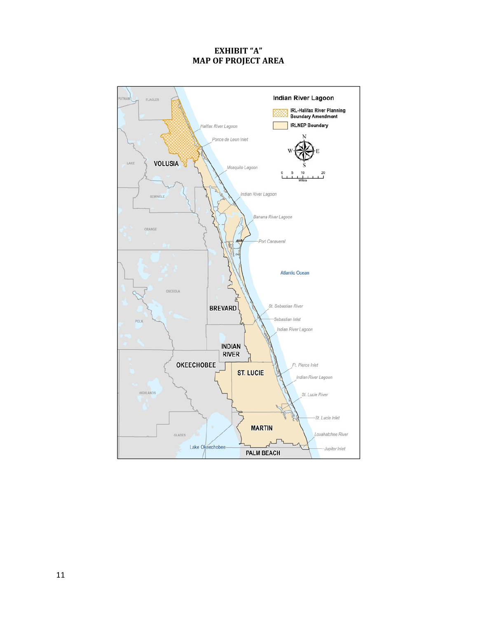#### **EXHIBIT "A" MAP OF PROJECT AREA**

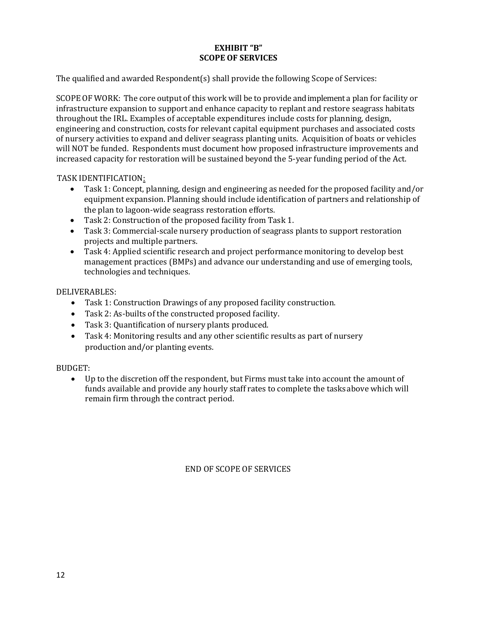#### **EXHIBIT "B" SCOPE OF SERVICES**

The qualified and awarded Respondent(s) shall provide the following Scope of Services:

SCOPE OF WORK: The core output of this work will be to provide and implement a plan for facility or infrastructure expansion to support and enhance capacity to replant and restore seagrass habitats throughout the IRL. Examples of acceptable expenditures include costs for planning, design, engineering and construction, costs for relevant capital equipment purchases and associated costs of nursery activities to expand and deliver seagrass planting units. Acquisition of boats or vehicles will NOT be funded. Respondents must document how proposed infrastructure improvements and increased capacity for restoration will be sustained beyond the 5-year funding period of the Act.

TASK IDENTIFICATION:

- Task 1: Concept, planning, design and engineering as needed for the proposed facility and/or equipment expansion. Planning should include identification of partners and relationship of the plan to lagoon-wide seagrass restoration efforts.
- Task 2: Construction of the proposed facility from Task 1.
- Task 3: Commercial-scale nursery production of seagrass plants to support restoration projects and multiple partners.
- Task 4: Applied scientific research and project performance monitoring to develop best management practices (BMPs) and advance our understanding and use of emerging tools, technologies and techniques.

DELIVERABLES:

- Task 1: Construction Drawings of any proposed facility construction.
- Task 2: As-builts of the constructed proposed facility.
- Task 3: Quantification of nursery plants produced.
- Task 4: Monitoring results and any other scientific results as part of nursery production and/or planting events.

#### BUDGET:

• Up to the discretion off the respondent, but Firms must take into account the amount of funds available and provide any hourly staff rates to complete the tasks above which will remain firm through the contract period.

END OF SCOPE OF SERVICES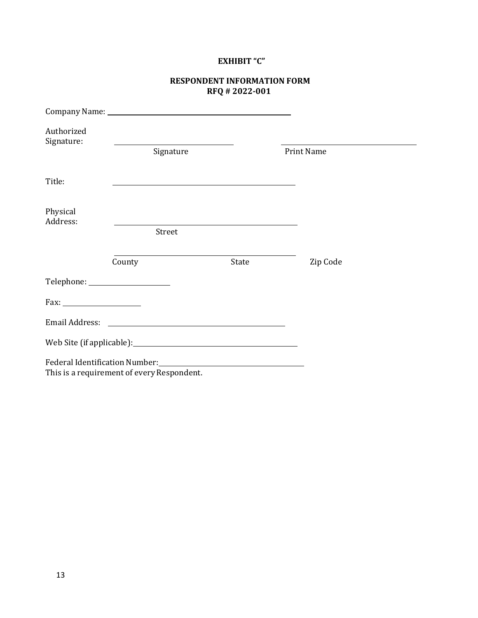## **EXHIBIT "C"**

#### **RESPONDENT INFORMATION FORM RFQ # 2022-001**

| Authorized<br>Signature: |                                                                                                                                                                                                                                                                             |       |                   |  |
|--------------------------|-----------------------------------------------------------------------------------------------------------------------------------------------------------------------------------------------------------------------------------------------------------------------------|-------|-------------------|--|
|                          | Signature                                                                                                                                                                                                                                                                   |       | <b>Print Name</b> |  |
| Title:                   |                                                                                                                                                                                                                                                                             |       |                   |  |
| Physical<br>Address:     |                                                                                                                                                                                                                                                                             |       |                   |  |
|                          | Street                                                                                                                                                                                                                                                                      |       |                   |  |
|                          | County                                                                                                                                                                                                                                                                      | State | Zip Code          |  |
|                          | Telephone: ______________________                                                                                                                                                                                                                                           |       |                   |  |
|                          |                                                                                                                                                                                                                                                                             |       |                   |  |
|                          | Email Address: <u>Communications</u>                                                                                                                                                                                                                                        |       |                   |  |
|                          |                                                                                                                                                                                                                                                                             |       |                   |  |
|                          | Federal Identification Number: National Assembly Prediction of the Contractor of the Contractor of the Contractor of the Contractor of the Contractor of the Contractor of the Contractor of the Contractor of the Contractor<br>This is a requirement of every Respondent. |       |                   |  |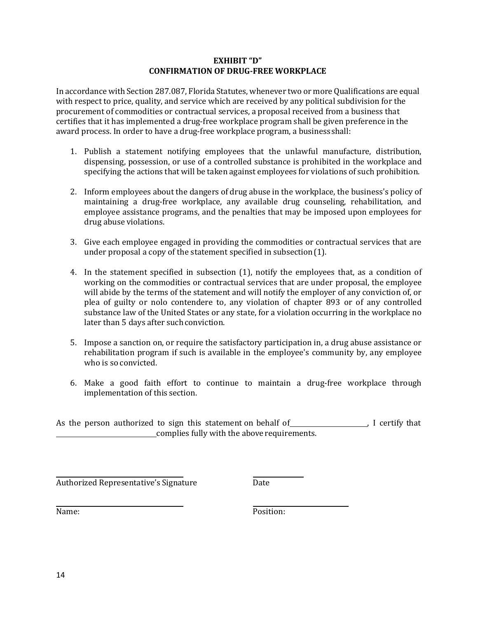#### **EXHIBIT "D" CONFIRMATION OF DRUG-FREE WORKPLACE**

In accordance with Section 287.087, Florida Statutes, whenever two or more Qualifications are equal with respect to price, quality, and service which are received by any political subdivision for the procurement of commodities or contractual services, a proposal received from a business that certifies that it has implemented a drug-free workplace program shall be given preference in the award process. In order to have a drug-free workplace program, a businessshall:

- 1. Publish a statement notifying employees that the unlawful manufacture, distribution, dispensing, possession, or use of a controlled substance is prohibited in the workplace and specifying the actions that will be taken against employees for violations of such prohibition.
- 2. Inform employees about the dangers of drug abuse in the workplace, the business's policy of maintaining a drug-free workplace, any available drug counseling, rehabilitation, and employee assistance programs, and the penalties that may be imposed upon employees for drug abuse violations.
- 3. Give each employee engaged in providing the commodities or contractual services that are under proposal a copy of the statement specified in subsection(1).
- 4. In the statement specified in subsection (1), notify the employees that, as a condition of working on the commodities or contractual services that are under proposal, the employee will abide by the terms of the statement and will notify the employer of any conviction of, or plea of guilty or nolo contendere to, any violation of chapter 893 or of any controlled substance law of the United States or any state, for a violation occurring in the workplace no later than 5 days after such conviction.
- 5. Impose a sanction on, or require the satisfactory participation in, a drug abuse assistance or rehabilitation program if such is available in the employee's community by, any employee who is so convicted.
- 6. Make a good faith effort to continue to maintain a drug-free workplace through implementation of this section.

As the person authorized to sign this statement on behalf of **Same Common Setup Lands** I certify that complies fully with the above requirements.

Authorized Representative's Signature **Date** 

Name: Position: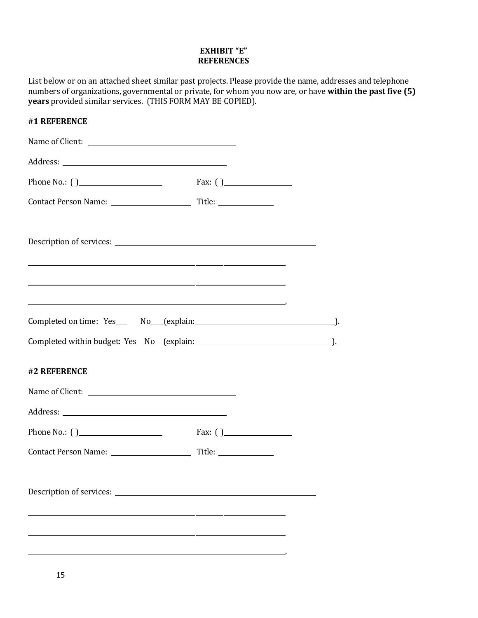#### **EXHIBIT "E" REFERENCES**

List below or on an attached sheet similar past projects. Please provide the name, addresses and telephone numbers of organizations, governmental or private, for whom you now are, or have **within the past five (5) years** provided similar services. (THIS FORM MAY BE COPIED).

| #1 REFERENCE                                               |            |  |
|------------------------------------------------------------|------------|--|
|                                                            |            |  |
|                                                            |            |  |
| Phone No.: () Fax: ()                                      |            |  |
|                                                            |            |  |
|                                                            |            |  |
| <u> 1989 - Johann Stoff, amerikansk politiker (* 1908)</u> |            |  |
|                                                            |            |  |
|                                                            |            |  |
| #2 REFERENCE                                               |            |  |
| Name of Client:                                            |            |  |
|                                                            |            |  |
|                                                            | Fax: $( )$ |  |
|                                                            |            |  |
|                                                            |            |  |
|                                                            |            |  |
|                                                            |            |  |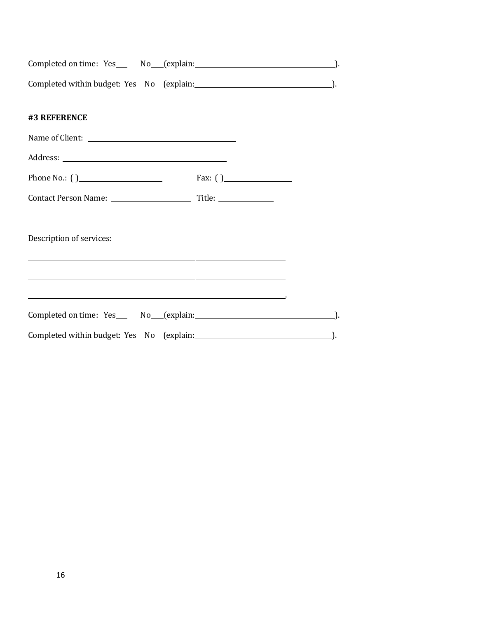| Completed on time: Yes                    | No (explain: |  |
|-------------------------------------------|--------------|--|
| Completed within budget: Yes No (explain: |              |  |

## **#3 REFERENCE**

| Name of Client:                                                                                                                                                                                           |            |  |
|-----------------------------------------------------------------------------------------------------------------------------------------------------------------------------------------------------------|------------|--|
|                                                                                                                                                                                                           |            |  |
| Phone No.: $( )$                                                                                                                                                                                          | Fax: $( )$ |  |
|                                                                                                                                                                                                           |            |  |
| <u> 1989 - John Harry Harry Harry Harry Harry Harry Harry Harry Harry Harry Harry Harry Harry Harry Harry Harry H</u><br>,我们也不能在这里,我们也不能不能不能不能不能不能不能不能不能不能不能不能不能不能不能不能不能。""我们不能不能不能不能不能不能不能不能不能不能不能不能不能不能 |            |  |
| the contract of the contract of the contract of the contract of the contract of the contract of the contract of                                                                                           |            |  |
| Completed within budget: Yes No (explain: 1997). [20] Completed within budget: Yes No (explain:                                                                                                           |            |  |